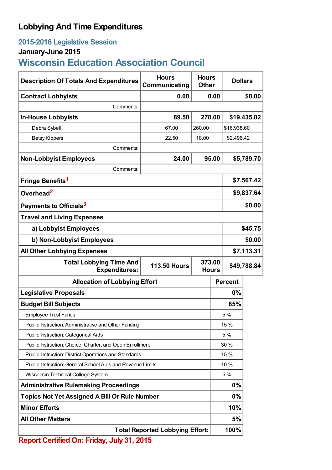## **Lobbying And Time Expenditures**

## **2015-2016 Legislative Session**

## **January-June 2015**

# **Wisconsin Education Association Council**

| <b>Description Of Totals And Expenditures</b>                                                           | <b>Hours</b><br>Communicating          | <b>Hours</b><br><b>Other</b> |            | <b>Dollars</b> |  |
|---------------------------------------------------------------------------------------------------------|----------------------------------------|------------------------------|------------|----------------|--|
| <b>Contract Lobbyists</b>                                                                               | 0.00                                   | 0.00                         |            | \$0.00         |  |
| Comments:                                                                                               |                                        |                              |            |                |  |
| <b>In-House Lobbyists</b>                                                                               | 89.50                                  | 278.00                       |            | \$19,435.02    |  |
| Debra Sybell                                                                                            | 67.00                                  | 260.00                       |            | \$16,938.60    |  |
| <b>Betsy Kippers</b>                                                                                    | 22.50                                  | 18.00                        |            | \$2,496.42     |  |
| Comments:                                                                                               |                                        |                              |            |                |  |
| <b>Non-Lobbyist Employees</b>                                                                           | 24.00                                  | 95.00                        |            | \$5,789.70     |  |
| Comments:                                                                                               |                                        |                              |            |                |  |
| Fringe Benefits <sup>1</sup>                                                                            |                                        |                              |            | \$7,567.42     |  |
| Overhead <sup>2</sup>                                                                                   |                                        |                              | \$9,837.64 |                |  |
| Payments to Officials <sup>3</sup>                                                                      |                                        |                              |            | \$0.00         |  |
| <b>Travel and Living Expenses</b>                                                                       |                                        |                              |            |                |  |
| a) Lobbyist Employees                                                                                   |                                        |                              |            | \$45.75        |  |
| b) Non-Lobbyist Employees                                                                               |                                        |                              |            | \$0.00         |  |
| <b>All Other Lobbying Expenses</b>                                                                      |                                        |                              |            | \$7,113.31     |  |
| <b>Total Lobbying Time And</b><br>373.00<br><b>113.50 Hours</b><br><b>Expenditures:</b><br><b>Hours</b> |                                        |                              |            | \$49,788.84    |  |
| <b>Allocation of Lobbying Effort</b>                                                                    |                                        |                              |            | <b>Percent</b> |  |
| <b>Legislative Proposals</b>                                                                            |                                        |                              |            | 0%             |  |
| <b>Budget Bill Subjects</b>                                                                             |                                        |                              |            | 85%            |  |
| <b>Employee Trust Funds</b>                                                                             |                                        |                              |            | 5 %            |  |
| Public Instruction: Administrative and Other Funding                                                    |                                        |                              | 15 %       |                |  |
| Public Instruction: Categorical Aids                                                                    |                                        |                              | 5 %        |                |  |
| Public Instruction: Choice, Charter, and Open Enrollment                                                |                                        |                              | 30 %       |                |  |
| Public Instruction: District Operations and Standards                                                   |                                        |                              | 15 %       |                |  |
| Public Instruction: General School Aids and Revenue Limits                                              |                                        |                              | 10 %       |                |  |
| Wisconsin Technical College System                                                                      |                                        |                              | 5 %        |                |  |
| <b>Administrative Rulemaking Proceedings</b>                                                            |                                        |                              | 0%         |                |  |
| <b>Topics Not Yet Assigned A Bill Or Rule Number</b>                                                    |                                        |                              | $0\%$      |                |  |
| <b>Minor Efforts</b>                                                                                    |                                        |                              |            | 10%            |  |
| <b>All Other Matters</b>                                                                                |                                        |                              | 5%         |                |  |
|                                                                                                         | <b>Total Reported Lobbying Effort:</b> |                              |            | 100%           |  |
| <b>Report Certified On: Friday, July 31, 2015</b>                                                       |                                        |                              |            |                |  |